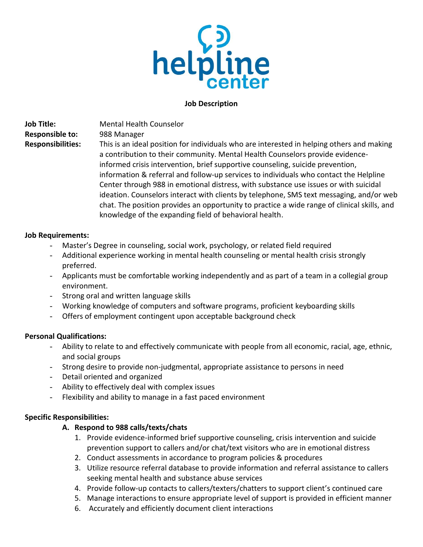

#### **Job Description**

**Job Title:** Mental Health Counselor **Responsible to:** 988 Manager

**Responsibilities:** This is an ideal position for individuals who are interested in helping others and making a contribution to their community. Mental Health Counselors provide evidenceinformed crisis intervention, brief supportive counseling, suicide prevention, information & referral and follow-up services to individuals who contact the Helpline Center through 988 in emotional distress, with substance use issues or with suicidal ideation. Counselors interact with clients by telephone, SMS text messaging, and/or web chat. The position provides an opportunity to practice a wide range of clinical skills, and knowledge of the expanding field of behavioral health.

### **Job Requirements:**

- Master's Degree in counseling, social work, psychology, or related field required
- Additional experience working in mental health counseling or mental health crisis strongly preferred.
- Applicants must be comfortable working independently and as part of a team in a collegial group environment.
- Strong oral and written language skills
- Working knowledge of computers and software programs, proficient keyboarding skills
- Offers of employment contingent upon acceptable background check

### **Personal Qualifications:**

- Ability to relate to and effectively communicate with people from all economic, racial, age, ethnic, and social groups
- Strong desire to provide non-judgmental, appropriate assistance to persons in need
- Detail oriented and organized
- Ability to effectively deal with complex issues
- Flexibility and ability to manage in a fast paced environment

### **Specific Responsibilities:**

### **A. Respond to 988 calls/texts/chats**

- 1. Provide evidence-informed brief supportive counseling, crisis intervention and suicide prevention support to callers and/or chat/text visitors who are in emotional distress
- 2. Conduct assessments in accordance to program policies & procedures
- 3. Utilize resource referral database to provide information and referral assistance to callers seeking mental health and substance abuse services
- 4. Provide follow-up contacts to callers/texters/chatters to support client's continued care
- 5. Manage interactions to ensure appropriate level of support is provided in efficient manner
- 6. Accurately and efficiently document client interactions